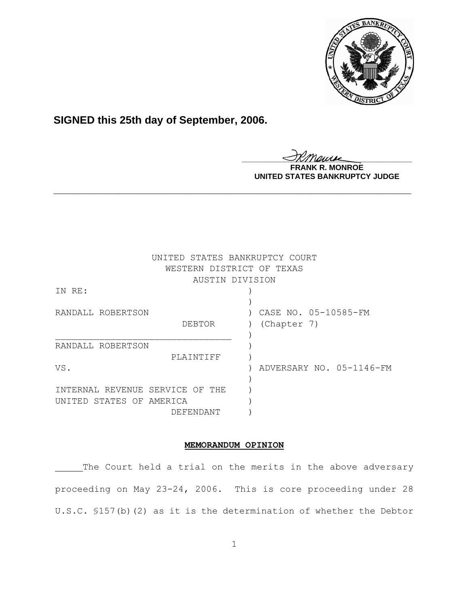

**SIGNED this 25th day of September, 2006.**

<u>IKThemse</u>

**MONROE UNITED STATES BANKRUPTCY JUDGE**

|                                 | UNITED STATES BANKRUPTCY COURT<br>WESTERN DISTRICT OF TEXAS |                          |
|---------------------------------|-------------------------------------------------------------|--------------------------|
|                                 | AUSTIN DIVISION                                             |                          |
| IN RE:                          |                                                             |                          |
|                                 |                                                             |                          |
| RANDALL ROBERTSON               |                                                             | CASE NO. 05-10585-FM     |
|                                 | DEBTOR                                                      | (Chapter 7)              |
|                                 |                                                             |                          |
| RANDALL ROBERTSON               |                                                             |                          |
|                                 | PLAINTIFF                                                   |                          |
| VS.                             |                                                             | ADVERSARY NO. 05-1146-FM |
|                                 |                                                             |                          |
| INTERNAL REVENUE SERVICE OF THE |                                                             |                          |
| UNITED STATES OF AMERICA        |                                                             |                          |
|                                 | DEFENDANT                                                   |                          |

**\_\_\_\_\_\_\_\_\_\_\_\_\_\_\_\_\_\_\_\_\_\_\_\_\_\_\_\_\_\_\_\_\_\_\_\_\_\_\_\_\_\_\_\_\_\_\_\_\_\_\_\_\_\_\_\_\_\_\_\_**

# **MEMORANDUM OPINION**

The Court held a trial on the merits in the above adversary proceeding on May 23-24, 2006. This is core proceeding under 28 U.S.C. §157(b)(2) as it is the determination of whether the Debtor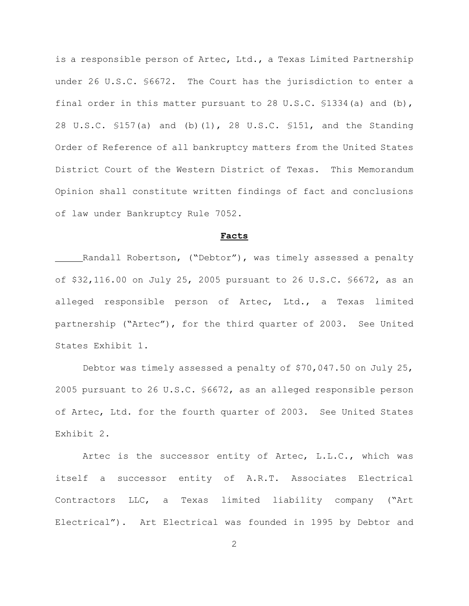is a responsible person of Artec, Ltd., a Texas Limited Partnership under 26 U.S.C. §6672. The Court has the jurisdiction to enter a final order in this matter pursuant to 28 U.S.C.  $$1334(a)$  and (b), 28 U.S.C. §157(a) and (b)(1), 28 U.S.C. §151, and the Standing Order of Reference of all bankruptcy matters from the United States District Court of the Western District of Texas. This Memorandum Opinion shall constitute written findings of fact and conclusions of law under Bankruptcy Rule 7052.

#### **Facts**

Randall Robertson, ("Debtor"), was timely assessed a penalty of \$32,116.00 on July 25, 2005 pursuant to 26 U.S.C. §6672, as an alleged responsible person of Artec, Ltd., a Texas limited partnership ("Artec"), for the third quarter of 2003. See United States Exhibit 1.

Debtor was timely assessed a penalty of \$70,047.50 on July 25, 2005 pursuant to 26 U.S.C. §6672, as an alleged responsible person of Artec, Ltd. for the fourth quarter of 2003. See United States Exhibit 2.

Artec is the successor entity of Artec, L.L.C., which was itself a successor entity of A.R.T. Associates Electrical Contractors LLC, a Texas limited liability company ("Art Electrical"). Art Electrical was founded in 1995 by Debtor and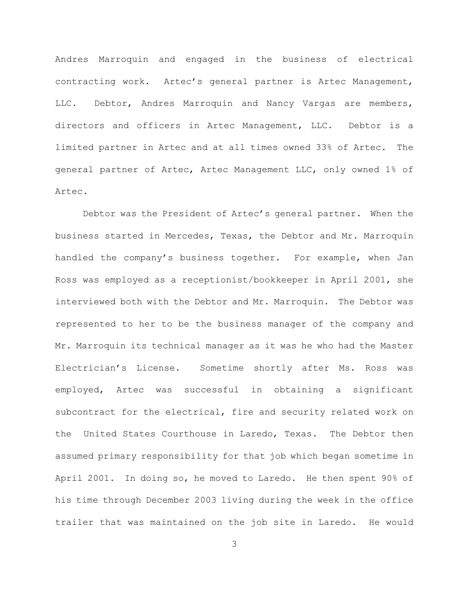Andres Marroquin and engaged in the business of electrical contracting work. Artec's general partner is Artec Management, LLC. Debtor, Andres Marroquin and Nancy Vargas are members, directors and officers in Artec Management, LLC. Debtor is a limited partner in Artec and at all times owned 33% of Artec. The general partner of Artec, Artec Management LLC, only owned 1% of Artec.

Debtor was the President of Artec's general partner. When the business started in Mercedes, Texas, the Debtor and Mr. Marroquin handled the company's business together. For example, when Jan Ross was employed as a receptionist/bookkeeper in April 2001, she interviewed both with the Debtor and Mr. Marroquin. The Debtor was represented to her to be the business manager of the company and Mr. Marroquin its technical manager as it was he who had the Master Electrician's License. Sometime shortly after Ms. Ross was employed, Artec was successful in obtaining a significant subcontract for the electrical, fire and security related work on the United States Courthouse in Laredo, Texas. The Debtor then assumed primary responsibility for that job which began sometime in April 2001. In doing so, he moved to Laredo. He then spent 90% of his time through December 2003 living during the week in the office trailer that was maintained on the job site in Laredo. He would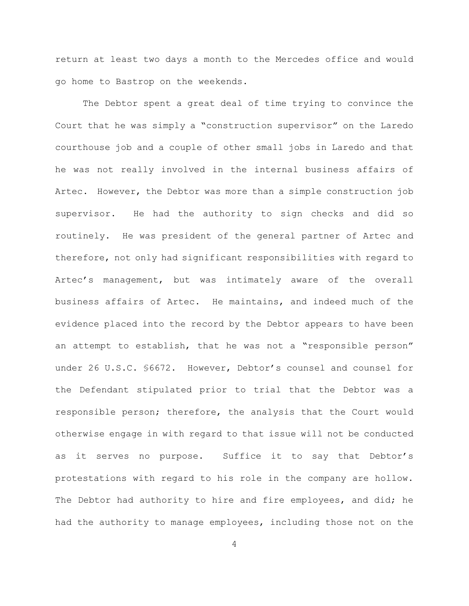return at least two days a month to the Mercedes office and would go home to Bastrop on the weekends.

The Debtor spent a great deal of time trying to convince the Court that he was simply a "construction supervisor" on the Laredo courthouse job and a couple of other small jobs in Laredo and that he was not really involved in the internal business affairs of Artec. However, the Debtor was more than a simple construction job supervisor. He had the authority to sign checks and did so routinely. He was president of the general partner of Artec and therefore, not only had significant responsibilities with regard to Artec's management, but was intimately aware of the overall business affairs of Artec. He maintains, and indeed much of the evidence placed into the record by the Debtor appears to have been an attempt to establish, that he was not a "responsible person" under 26 U.S.C. §6672. However, Debtor's counsel and counsel for the Defendant stipulated prior to trial that the Debtor was a responsible person; therefore, the analysis that the Court would otherwise engage in with regard to that issue will not be conducted as it serves no purpose. Suffice it to say that Debtor's protestations with regard to his role in the company are hollow. The Debtor had authority to hire and fire employees, and did; he had the authority to manage employees, including those not on the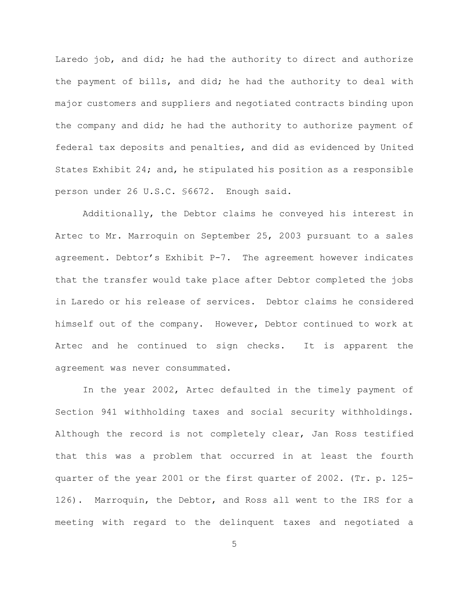Laredo job, and did; he had the authority to direct and authorize the payment of bills, and did; he had the authority to deal with major customers and suppliers and negotiated contracts binding upon the company and did; he had the authority to authorize payment of federal tax deposits and penalties, and did as evidenced by United States Exhibit 24; and, he stipulated his position as a responsible person under 26 U.S.C. §6672. Enough said.

Additionally, the Debtor claims he conveyed his interest in Artec to Mr. Marroquin on September 25, 2003 pursuant to a sales agreement. Debtor's Exhibit P-7. The agreement however indicates that the transfer would take place after Debtor completed the jobs in Laredo or his release of services. Debtor claims he considered himself out of the company. However, Debtor continued to work at Artec and he continued to sign checks. It is apparent the agreement was never consummated.

In the year 2002, Artec defaulted in the timely payment of Section 941 withholding taxes and social security withholdings. Although the record is not completely clear, Jan Ross testified that this was a problem that occurred in at least the fourth quarter of the year 2001 or the first quarter of 2002. (Tr. p. 125- 126). Marroquin, the Debtor, and Ross all went to the IRS for a meeting with regard to the delinquent taxes and negotiated a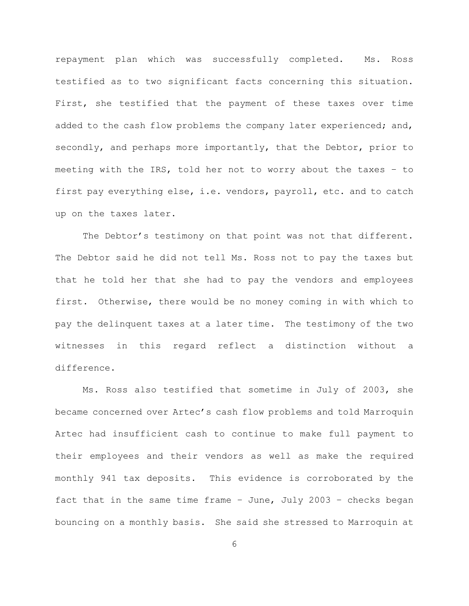repayment plan which was successfully completed. Ms. Ross testified as to two significant facts concerning this situation. First, she testified that the payment of these taxes over time added to the cash flow problems the company later experienced; and, secondly, and perhaps more importantly, that the Debtor, prior to meeting with the IRS, told her not to worry about the taxes – to first pay everything else, i.e. vendors, payroll, etc. and to catch up on the taxes later.

The Debtor's testimony on that point was not that different. The Debtor said he did not tell Ms. Ross not to pay the taxes but that he told her that she had to pay the vendors and employees first. Otherwise, there would be no money coming in with which to pay the delinquent taxes at a later time. The testimony of the two witnesses in this regard reflect a distinction without a difference.

Ms. Ross also testified that sometime in July of 2003, she became concerned over Artec's cash flow problems and told Marroquin Artec had insufficient cash to continue to make full payment to their employees and their vendors as well as make the required monthly 941 tax deposits. This evidence is corroborated by the fact that in the same time frame – June, July 2003 – checks began bouncing on a monthly basis. She said she stressed to Marroquin at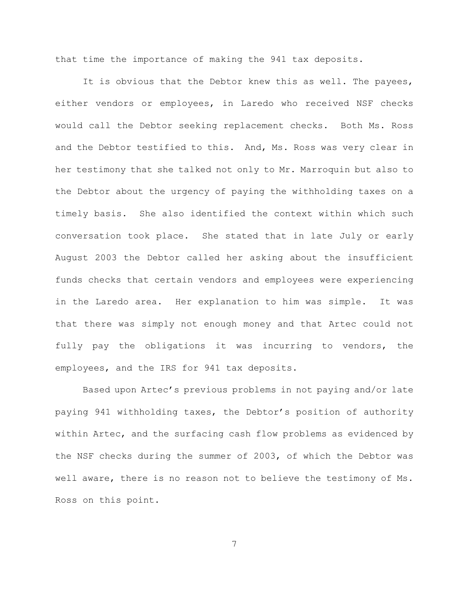that time the importance of making the 941 tax deposits.

It is obvious that the Debtor knew this as well. The payees, either vendors or employees, in Laredo who received NSF checks would call the Debtor seeking replacement checks. Both Ms. Ross and the Debtor testified to this. And, Ms. Ross was very clear in her testimony that she talked not only to Mr. Marroquin but also to the Debtor about the urgency of paying the withholding taxes on a timely basis. She also identified the context within which such conversation took place. She stated that in late July or early August 2003 the Debtor called her asking about the insufficient funds checks that certain vendors and employees were experiencing in the Laredo area. Her explanation to him was simple. It was that there was simply not enough money and that Artec could not fully pay the obligations it was incurring to vendors, the employees, and the IRS for 941 tax deposits.

Based upon Artec's previous problems in not paying and/or late paying 941 withholding taxes, the Debtor's position of authority within Artec, and the surfacing cash flow problems as evidenced by the NSF checks during the summer of 2003, of which the Debtor was well aware, there is no reason not to believe the testimony of Ms. Ross on this point.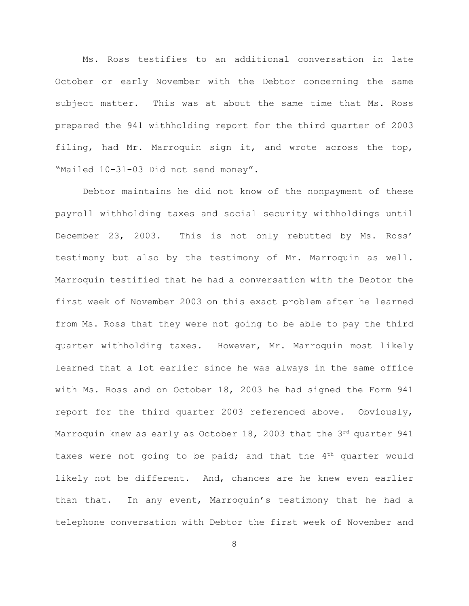Ms. Ross testifies to an additional conversation in late October or early November with the Debtor concerning the same subject matter. This was at about the same time that Ms. Ross prepared the 941 withholding report for the third quarter of 2003 filing, had Mr. Marroquin sign it, and wrote across the top, "Mailed 10-31-03 Did not send money".

Debtor maintains he did not know of the nonpayment of these payroll withholding taxes and social security withholdings until December 23, 2003. This is not only rebutted by Ms. Ross' testimony but also by the testimony of Mr. Marroquin as well. Marroquin testified that he had a conversation with the Debtor the first week of November 2003 on this exact problem after he learned from Ms. Ross that they were not going to be able to pay the third quarter withholding taxes. However, Mr. Marroquin most likely learned that a lot earlier since he was always in the same office with Ms. Ross and on October 18, 2003 he had signed the Form 941 report for the third quarter 2003 referenced above. Obviously, Marroquin knew as early as October 18, 2003 that the  $3<sup>rd</sup>$  quarter 941 taxes were not going to be paid; and that the  $4<sup>th</sup>$  quarter would likely not be different. And, chances are he knew even earlier than that. In any event, Marroquin's testimony that he had a telephone conversation with Debtor the first week of November and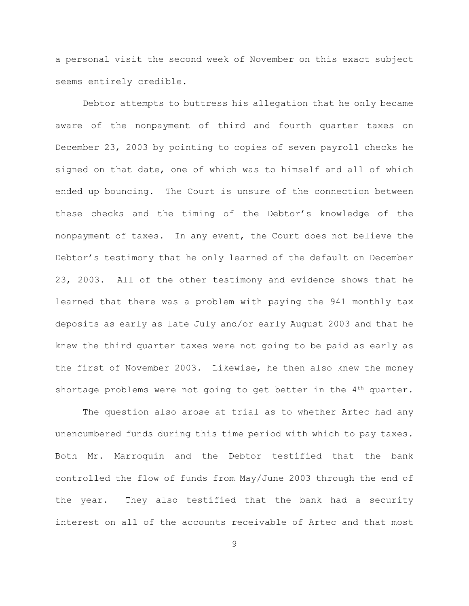a personal visit the second week of November on this exact subject seems entirely credible.

Debtor attempts to buttress his allegation that he only became aware of the nonpayment of third and fourth quarter taxes on December 23, 2003 by pointing to copies of seven payroll checks he signed on that date, one of which was to himself and all of which ended up bouncing. The Court is unsure of the connection between these checks and the timing of the Debtor's knowledge of the nonpayment of taxes. In any event, the Court does not believe the Debtor's testimony that he only learned of the default on December 23, 2003. All of the other testimony and evidence shows that he learned that there was a problem with paying the 941 monthly tax deposits as early as late July and/or early August 2003 and that he knew the third quarter taxes were not going to be paid as early as the first of November 2003. Likewise, he then also knew the money shortage problems were not going to get better in the  $4<sup>th</sup>$  quarter.

The question also arose at trial as to whether Artec had any unencumbered funds during this time period with which to pay taxes. Both Mr. Marroquin and the Debtor testified that the bank controlled the flow of funds from May/June 2003 through the end of the year. They also testified that the bank had a security interest on all of the accounts receivable of Artec and that most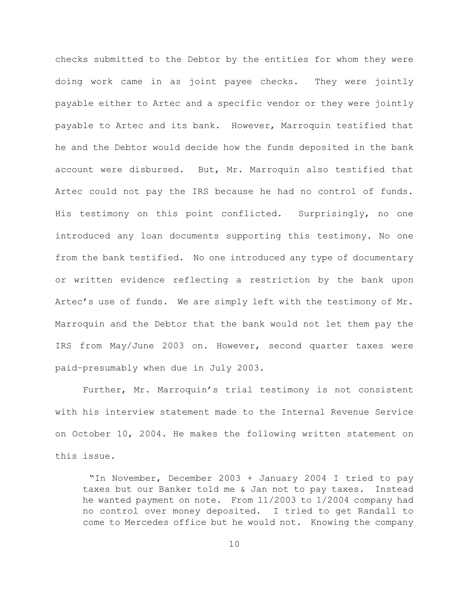checks submitted to the Debtor by the entities for whom they were doing work came in as joint payee checks. They were jointly payable either to Artec and a specific vendor or they were jointly payable to Artec and its bank. However, Marroquin testified that he and the Debtor would decide how the funds deposited in the bank account were disbursed. But, Mr. Marroquin also testified that Artec could not pay the IRS because he had no control of funds. His testimony on this point conflicted. Surprisingly, no one introduced any loan documents supporting this testimony. No one from the bank testified. No one introduced any type of documentary or written evidence reflecting a restriction by the bank upon Artec's use of funds. We are simply left with the testimony of Mr. Marroquin and the Debtor that the bank would not let them pay the IRS from May/June 2003 on. However, second quarter taxes were paid–presumably when due in July 2003.

Further, Mr. Marroquin's trial testimony is not consistent with his interview statement made to the Internal Revenue Service on October 10, 2004. He makes the following written statement on this issue.

 "In November, December 2003 + January 2004 I tried to pay taxes but our Banker told me & Jan not to pay taxes. Instead he wanted payment on note. From 11/2003 to 1/2004 company had no control over money deposited. I tried to get Randall to come to Mercedes office but he would not. Knowing the company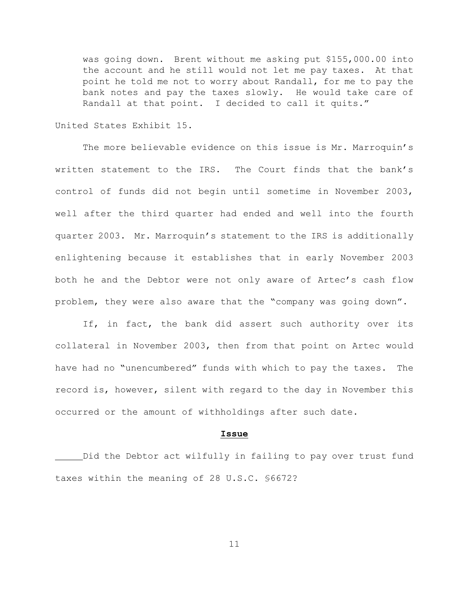was going down. Brent without me asking put \$155,000.00 into the account and he still would not let me pay taxes. At that point he told me not to worry about Randall, for me to pay the bank notes and pay the taxes slowly. He would take care of Randall at that point. I decided to call it quits."

United States Exhibit 15.

The more believable evidence on this issue is Mr. Marroquin's written statement to the IRS. The Court finds that the bank's control of funds did not begin until sometime in November 2003, well after the third quarter had ended and well into the fourth quarter 2003. Mr. Marroquin's statement to the IRS is additionally enlightening because it establishes that in early November 2003 both he and the Debtor were not only aware of Artec's cash flow problem, they were also aware that the "company was going down".

If, in fact, the bank did assert such authority over its collateral in November 2003, then from that point on Artec would have had no "unencumbered" funds with which to pay the taxes. The record is, however, silent with regard to the day in November this occurred or the amount of withholdings after such date.

### **Issue**

Did the Debtor act wilfully in failing to pay over trust fund taxes within the meaning of 28 U.S.C. §6672?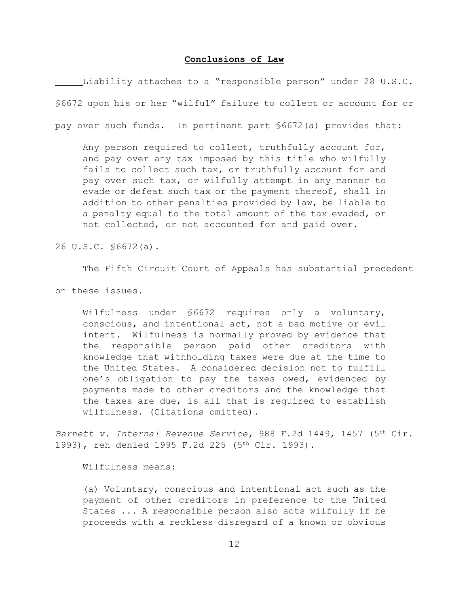#### **Conclusions of Law**

Liability attaches to a "responsible person" under 28 U.S.C. §6672 upon his or her "wilful" failure to collect or account for or pay over such funds. In pertinent part §6672(a) provides that:

Any person required to collect, truthfully account for, and pay over any tax imposed by this title who wilfully fails to collect such tax, or truthfully account for and pay over such tax, or wilfully attempt in any manner to evade or defeat such tax or the payment thereof, shall in addition to other penalties provided by law, be liable to a penalty equal to the total amount of the tax evaded, or not collected, or not accounted for and paid over.

26 U.S.C. §6672(a).

The Fifth Circuit Court of Appeals has substantial precedent

on these issues.

Wilfulness under §6672 requires only a voluntary, conscious, and intentional act, not a bad motive or evil intent. Wilfulness is normally proved by evidence that the responsible person paid other creditors with knowledge that withholding taxes were due at the time to the United States. A considered decision not to fulfill one's obligation to pay the taxes owed, evidenced by payments made to other creditors and the knowledge that the taxes are due, is all that is required to establish wilfulness. (Citations omitted).

*Barnett v. Internal Revenue Service,* 988 F.2d 1449, 1457 (5<sup>th</sup> Cir. 1993), reh denied 1995 F.2d 225 (5<sup>th</sup> Cir. 1993).

Wilfulness means:

(a) Voluntary, conscious and intentional act such as the payment of other creditors in preference to the United States ... A responsible person also acts wilfully if he proceeds with a reckless disregard of a known or obvious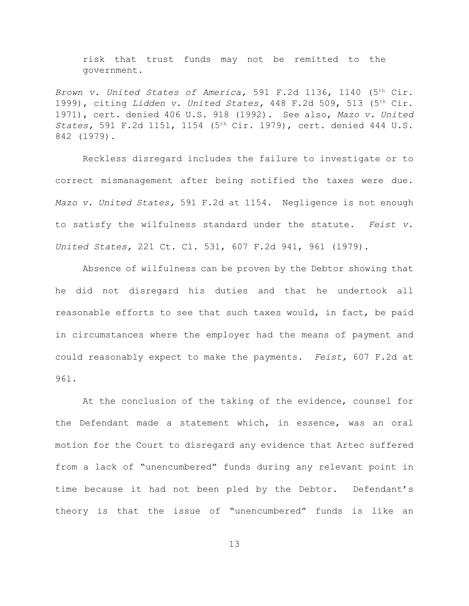risk that trust funds may not be remitted to the government.

Brown v. United States of America, 591 F.2d 1136, 1140 (5<sup>th</sup> Cir. 1999), citing *Lidden v. United States,* 448 F.2d 509, 513 (5<sup>th</sup> Cir. 1971), cert. denied 406 U.S. 918 (1992). See also, *Mazo v. United States,* 591 F.2d 1151, 1154 (5<sup>th</sup> Cir. 1979), cert. denied 444 U.S. 842 (1979).

Reckless disregard includes the failure to investigate or to correct mismanagement after being notified the taxes were due. *Mazo v. United States,* 591 F.2d at 1154. Negligence is not enough to satisfy the wilfulness standard under the statute. *Feist v. United States,* 221 Ct. Cl. 531, 607 F.2d 941, 961 (1979).

Absence of wilfulness can be proven by the Debtor showing that he did not disregard his duties and that he undertook all reasonable efforts to see that such taxes would, in fact, be paid in circumstances where the employer had the means of payment and could reasonably expect to make the payments. *Feist,* 607 F.2d at 96l.

At the conclusion of the taking of the evidence, counsel for the Defendant made a statement which, in essence, was an oral motion for the Court to disregard any evidence that Artec suffered from a lack of "unencumbered" funds during any relevant point in time because it had not been pled by the Debtor. Defendant's theory is that the issue of "unencumbered" funds is like an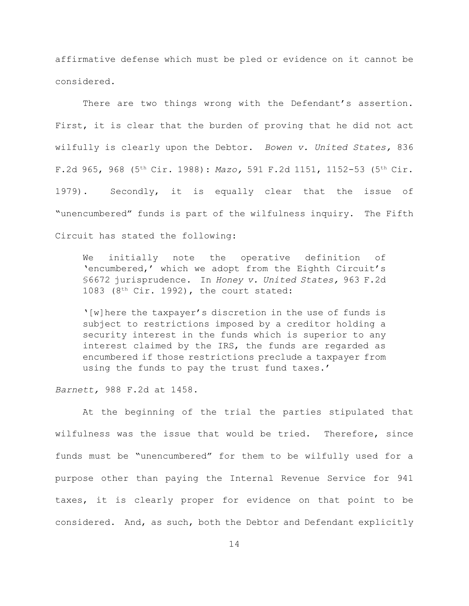affirmative defense which must be pled or evidence on it cannot be considered.

There are two things wrong with the Defendant's assertion. First, it is clear that the burden of proving that he did not act wilfully is clearly upon the Debtor. *Bowen v. United States,* 836 F.2d 965, 968 (5<sup>th</sup> Cir. 1988): *Mazo*, 591 F.2d 1151, 1152-53 (5<sup>th</sup> Cir. 1979). Secondly, it is equally clear that the issue of "unencumbered" funds is part of the wilfulness inquiry. The Fifth Circuit has stated the following:

We initially note the operative definition of 'encumbered,' which we adopt from the Eighth Circuit's §6672 jurisprudence. In *Honey v. United States,* 963 F.2d 1083 ( $8<sup>th</sup>$  Cir. 1992), the court stated:

'[w]here the taxpayer's discretion in the use of funds is subject to restrictions imposed by a creditor holding a security interest in the funds which is superior to any interest claimed by the IRS, the funds are regarded as encumbered if those restrictions preclude a taxpayer from using the funds to pay the trust fund taxes.'

*Barnett,* 988 F.2d at 1458.

At the beginning of the trial the parties stipulated that wilfulness was the issue that would be tried. Therefore, since funds must be "unencumbered" for them to be wilfully used for a purpose other than paying the Internal Revenue Service for 941 taxes, it is clearly proper for evidence on that point to be considered. And, as such, both the Debtor and Defendant explicitly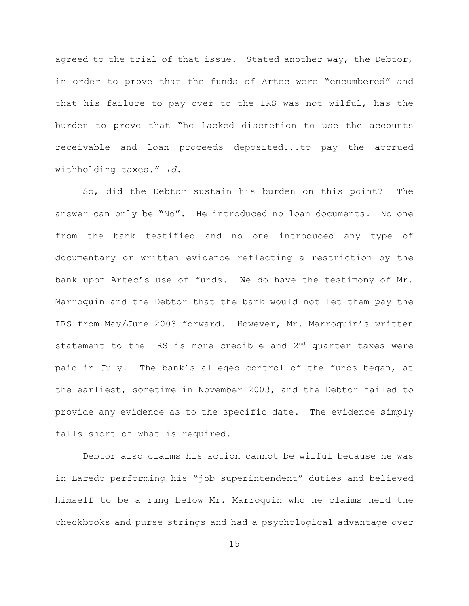agreed to the trial of that issue. Stated another way, the Debtor, in order to prove that the funds of Artec were "encumbered" and that his failure to pay over to the IRS was not wilful, has the burden to prove that "he lacked discretion to use the accounts receivable and loan proceeds deposited...to pay the accrued withholding taxes." *Id*.

So, did the Debtor sustain his burden on this point? The answer can only be "No". He introduced no loan documents. No one from the bank testified and no one introduced any type of documentary or written evidence reflecting a restriction by the bank upon Artec's use of funds. We do have the testimony of Mr. Marroquin and the Debtor that the bank would not let them pay the IRS from May/June 2003 forward. However, Mr. Marroquin's written statement to the IRS is more credible and  $2<sup>nd</sup>$  quarter taxes were paid in July. The bank's alleged control of the funds began, at the earliest, sometime in November 2003, and the Debtor failed to provide any evidence as to the specific date. The evidence simply falls short of what is required.

Debtor also claims his action cannot be wilful because he was in Laredo performing his "job superintendent" duties and believed himself to be a rung below Mr. Marroquin who he claims held the checkbooks and purse strings and had a psychological advantage over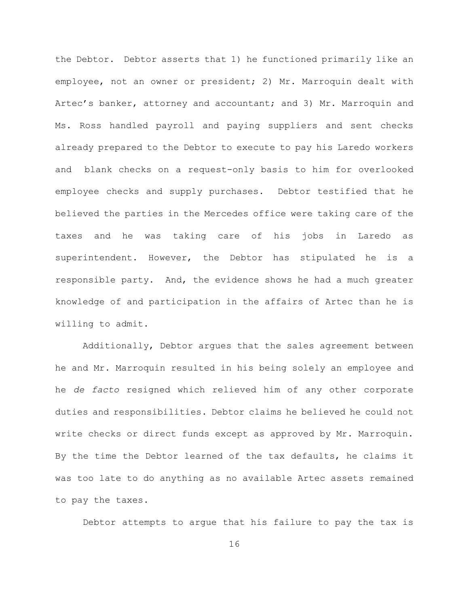the Debtor. Debtor asserts that 1) he functioned primarily like an employee, not an owner or president; 2) Mr. Marroquin dealt with Artec's banker, attorney and accountant; and 3) Mr. Marroquin and Ms. Ross handled payroll and paying suppliers and sent checks already prepared to the Debtor to execute to pay his Laredo workers and blank checks on a request-only basis to him for overlooked employee checks and supply purchases. Debtor testified that he believed the parties in the Mercedes office were taking care of the taxes and he was taking care of his jobs in Laredo as superintendent. However, the Debtor has stipulated he is a responsible party. And, the evidence shows he had a much greater knowledge of and participation in the affairs of Artec than he is willing to admit.

Additionally, Debtor argues that the sales agreement between he and Mr. Marroquin resulted in his being solely an employee and he *de facto* resigned which relieved him of any other corporate duties and responsibilities. Debtor claims he believed he could not write checks or direct funds except as approved by Mr. Marroquin. By the time the Debtor learned of the tax defaults, he claims it was too late to do anything as no available Artec assets remained to pay the taxes.

Debtor attempts to argue that his failure to pay the tax is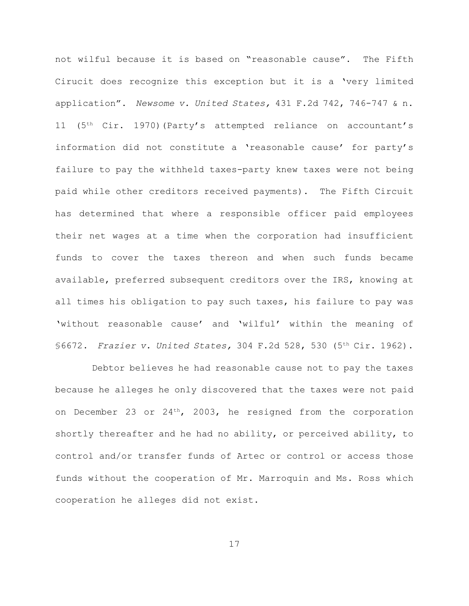not wilful because it is based on "reasonable cause". The Fifth Cirucit does recognize this exception but it is a 'very limited application". *Newsome v. United States,* 431 F.2d 742, 746-747 & n. 11 (5<sup>th</sup> Cir. 1970)(Party's attempted reliance on accountant's information did not constitute a 'reasonable cause' for party's failure to pay the withheld taxes-party knew taxes were not being paid while other creditors received payments). The Fifth Circuit has determined that where a responsible officer paid employees their net wages at a time when the corporation had insufficient funds to cover the taxes thereon and when such funds became available, preferred subsequent creditors over the IRS, knowing at all times his obligation to pay such taxes, his failure to pay was 'without reasonable cause' and 'wilful' within the meaning of §6672. Frazier v. United States, 304 F.2d 528, 530 (5<sup>th</sup> Cir. 1962).

 Debtor believes he had reasonable cause not to pay the taxes because he alleges he only discovered that the taxes were not paid on December 23 or  $24<sup>th</sup>$ , 2003, he resigned from the corporation shortly thereafter and he had no ability, or perceived ability, to control and/or transfer funds of Artec or control or access those funds without the cooperation of Mr. Marroquin and Ms. Ross which cooperation he alleges did not exist.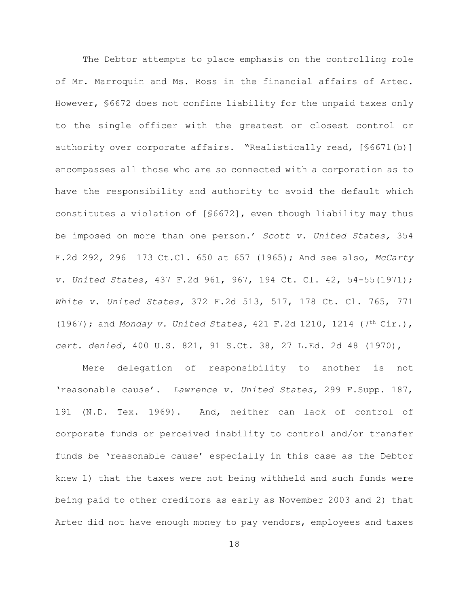The Debtor attempts to place emphasis on the controlling role of Mr. Marroquin and Ms. Ross in the financial affairs of Artec. However, §6672 does not confine liability for the unpaid taxes only to the single officer with the greatest or closest control or authority over corporate affairs. "Realistically read, [§6671(b)] encompasses all those who are so connected with a corporation as to have the responsibility and authority to avoid the default which constitutes a violation of [§6672], even though liability may thus be imposed on more than one person.' *Scott v. United States,* 354 F.2d 292, 296 173 Ct.Cl. 650 at 657 (1965); And see also, *McCarty v. United States,* 437 F.2d 961, 967, 194 Ct. Cl. 42, 54-55(1971); *White v. United States,* 372 F.2d 513, 517, 178 Ct. Cl. 765, 771 (1967); and *Monday v. United States*, 421 F.2d 1210, 1214 (7<sup>th</sup> Cir.), *cert. denied,* 400 U.S. 821, 91 S.Ct. 38, 27 L.Ed. 2d 48 (1970),

Mere delegation of responsibility to another is not 'reasonable cause'. *Lawrence v. United States,* 299 F.Supp. 187, 191 (N.D. Tex. 1969). And, neither can lack of control of corporate funds or perceived inability to control and/or transfer funds be 'reasonable cause' especially in this case as the Debtor knew 1) that the taxes were not being withheld and such funds were being paid to other creditors as early as November 2003 and 2) that Artec did not have enough money to pay vendors, employees and taxes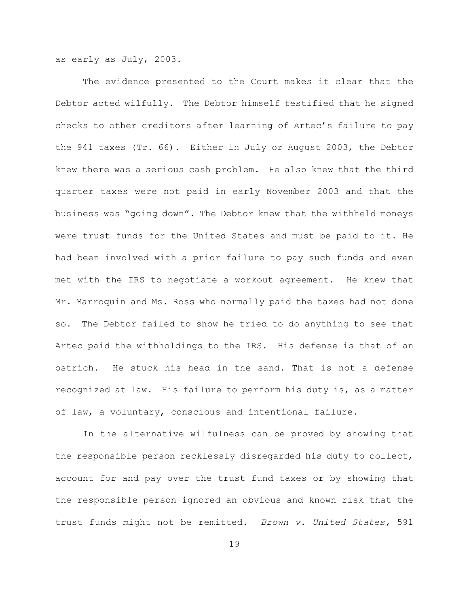as early as July, 2003.

The evidence presented to the Court makes it clear that the Debtor acted wilfully. The Debtor himself testified that he signed checks to other creditors after learning of Artec's failure to pay the 941 taxes (Tr. 66). Either in July or August 2003, the Debtor knew there was a serious cash problem. He also knew that the third quarter taxes were not paid in early November 2003 and that the business was "going down". The Debtor knew that the withheld moneys were trust funds for the United States and must be paid to it. He had been involved with a prior failure to pay such funds and even met with the IRS to negotiate a workout agreement. He knew that Mr. Marroquin and Ms. Ross who normally paid the taxes had not done so. The Debtor failed to show he tried to do anything to see that Artec paid the withholdings to the IRS. His defense is that of an ostrich. He stuck his head in the sand. That is not a defense recognized at law. His failure to perform his duty is, as a matter of law, a voluntary, conscious and intentional failure.

In the alternative wilfulness can be proved by showing that the responsible person recklessly disregarded his duty to collect, account for and pay over the trust fund taxes or by showing that the responsible person ignored an obvious and known risk that the trust funds might not be remitted. *Brown v. United States,* 591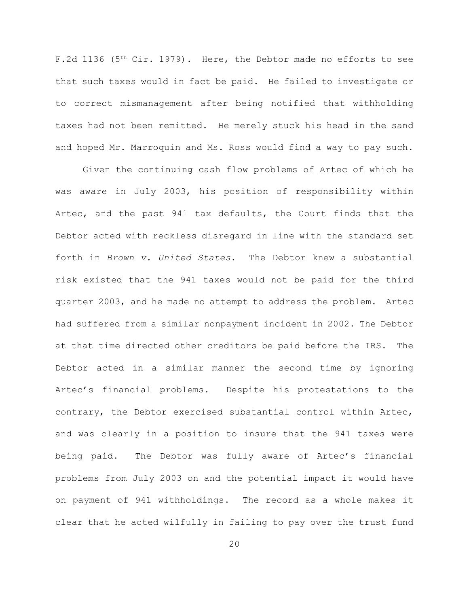F.2d 1136 ( $5<sup>th</sup> Cir.$  1979). Here, the Debtor made no efforts to see that such taxes would in fact be paid. He failed to investigate or to correct mismanagement after being notified that withholding taxes had not been remitted. He merely stuck his head in the sand and hoped Mr. Marroquin and Ms. Ross would find a way to pay such.

Given the continuing cash flow problems of Artec of which he was aware in July 2003, his position of responsibility within Artec, and the past 941 tax defaults, the Court finds that the Debtor acted with reckless disregard in line with the standard set forth in *Brown v. United States.* The Debtor knew a substantial risk existed that the 941 taxes would not be paid for the third quarter 2003, and he made no attempt to address the problem. Artec had suffered from a similar nonpayment incident in 2002. The Debtor at that time directed other creditors be paid before the IRS. The Debtor acted in a similar manner the second time by ignoring Artec's financial problems. Despite his protestations to the contrary, the Debtor exercised substantial control within Artec, and was clearly in a position to insure that the 941 taxes were being paid. The Debtor was fully aware of Artec's financial problems from July 2003 on and the potential impact it would have on payment of 941 withholdings. The record as a whole makes it clear that he acted wilfully in failing to pay over the trust fund